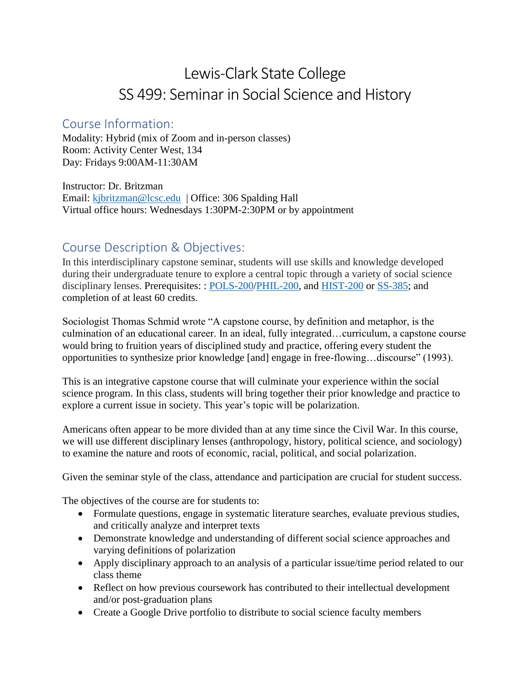# Lewis-Clark State College SS 499: Seminar in Social Science and History

#### Course Information:

Modality: Hybrid (mix of Zoom and in-person classes) Room: Activity Center West, 134 Day: Fridays 9:00AM-11:30AM

Instructor: Dr. Britzman Email: [kjbritzman@lcsc.edu](mailto:kjbritzman@lcsc.edu) | Office: 306 Spalding Hall Virtual office hours: Wednesdays 1:30PM-2:30PM or by appointment

### Course Description & Objectives:

In this interdisciplinary capstone seminar, students will use skills and knowledge developed during their undergraduate tenure to explore a central topic through a variety of social science disciplinary lenses. Prerequisites: : [POLS-200](http://catalog.lcsc.edu/search/?P=POLS-200)[/PHIL-200,](http://catalog.lcsc.edu/search/?P=PHIL-200) and [HIST-200](http://catalog.lcsc.edu/search/?P=HIST-200) or [SS-385;](http://catalog.lcsc.edu/search/?P=SS-385) and completion of at least 60 credits.

Sociologist Thomas Schmid wrote "A capstone course, by definition and metaphor, is the culmination of an educational career. In an ideal, fully integrated…curriculum, a capstone course would bring to fruition years of disciplined study and practice, offering every student the opportunities to synthesize prior knowledge [and] engage in free-flowing…discourse" (1993).

This is an integrative capstone course that will culminate your experience within the social science program. In this class, students will bring together their prior knowledge and practice to explore a current issue in society. This year's topic will be polarization.

Americans often appear to be more divided than at any time since the Civil War. In this course, we will use different disciplinary lenses (anthropology, history, political science, and sociology) to examine the nature and roots of economic, racial, political, and social polarization.

Given the seminar style of the class, attendance and participation are crucial for student success.

The objectives of the course are for students to:

- Formulate questions, engage in systematic literature searches, evaluate previous studies, and critically analyze and interpret texts
- Demonstrate knowledge and understanding of different social science approaches and varying definitions of polarization
- Apply disciplinary approach to an analysis of a particular issue/time period related to our class theme
- Reflect on how previous coursework has contributed to their intellectual development and/or post-graduation plans
- Create a Google Drive portfolio to distribute to social science faculty members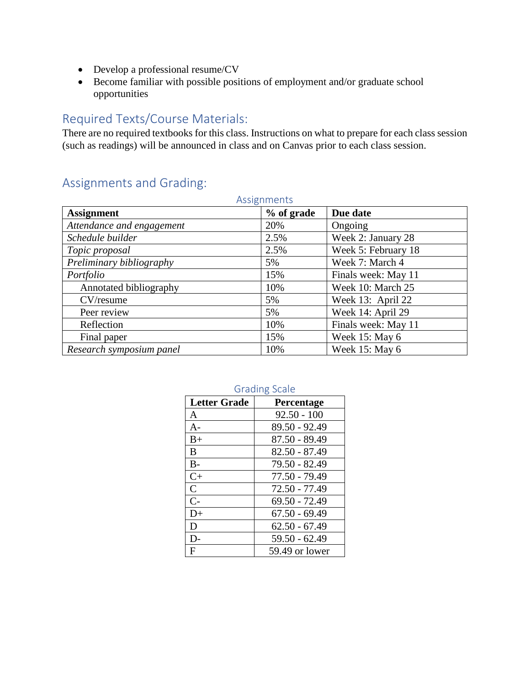- Develop a professional resume/CV
- Become familiar with possible positions of employment and/or graduate school opportunities

### Required Texts/Course Materials:

There are no required textbooks for this class. Instructions on what to prepare for each class session (such as readings) will be announced in class and on Canvas prior to each class session.

### Assignments and Grading:

| Assignments               |            |                     |  |
|---------------------------|------------|---------------------|--|
| <b>Assignment</b>         | % of grade | Due date            |  |
| Attendance and engagement | 20%        | Ongoing             |  |
| Schedule builder          | 2.5%       | Week 2: January 28  |  |
| Topic proposal            | 2.5%       | Week 5: February 18 |  |
| Preliminary bibliography  | 5%         | Week 7: March 4     |  |
| Portfolio                 | 15%        | Finals week: May 11 |  |
| Annotated bibliography    | 10%        | Week 10: March 25   |  |
| CV/resume                 | 5%         | Week 13: April 22   |  |
| Peer review               | 5%         | Week 14: April 29   |  |
| Reflection                | 10%        | Finals week: May 11 |  |
| Final paper               | 15%        | Week 15: May 6      |  |
| Research symposium panel  | 10%        | Week 15: May 6      |  |

#### Grading Scale

| <b>Letter Grade</b> | Percentage      |
|---------------------|-----------------|
| A                   | $92.50 - 100$   |
| $A-$                | 89.50 - 92.49   |
| $B+$                | $87.50 - 89.49$ |
| B                   | $82.50 - 87.49$ |
| $B-$                | 79.50 - 82.49   |
| $C+$                | 77.50 - 79.49   |
| $\overline{C}$      | 72.50 - 77.49   |
| $C-$                | 69.50 - 72.49   |
| $D+$                | $67.50 - 69.49$ |
| D                   | $62.50 - 67.49$ |
| D-                  | $59.50 - 62.49$ |
| F                   | 59.49 or lower  |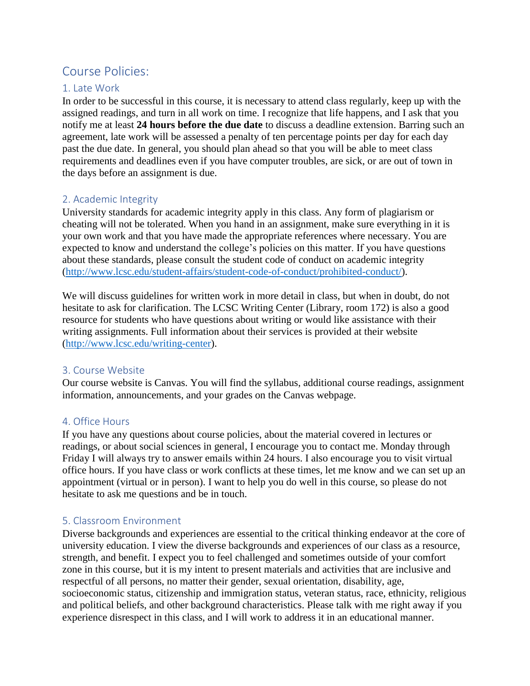### Course Policies:

#### 1. Late Work

In order to be successful in this course, it is necessary to attend class regularly, keep up with the assigned readings, and turn in all work on time. I recognize that life happens, and I ask that you notify me at least **24 hours before the due date** to discuss a deadline extension. Barring such an agreement, late work will be assessed a penalty of ten percentage points per day for each day past the due date. In general, you should plan ahead so that you will be able to meet class requirements and deadlines even if you have computer troubles, are sick, or are out of town in the days before an assignment is due.

#### 2. Academic Integrity

University standards for academic integrity apply in this class. Any form of plagiarism or cheating will not be tolerated. When you hand in an assignment, make sure everything in it is your own work and that you have made the appropriate references where necessary. You are expected to know and understand the college's policies on this matter. If you have questions about these standards, please consult the student code of conduct on academic integrity [\(http://www.lcsc.edu/student-affairs/student-code-of-conduct/prohibited-conduct/\)](http://www.lcsc.edu/student-affairs/student-code-of-conduct/prohibited-conduct/).

We will discuss guidelines for written work in more detail in class, but when in doubt, do not hesitate to ask for clarification. The LCSC Writing Center (Library, room 172) is also a good resource for students who have questions about writing or would like assistance with their writing assignments. Full information about their services is provided at their website [\(http://www.lcsc.edu/writing-center\)](http://www.lcsc.edu/writing-center).

#### 3. Course Website

Our course website is Canvas. You will find the syllabus, additional course readings, assignment information, announcements, and your grades on the Canvas webpage.

#### 4. Office Hours

If you have any questions about course policies, about the material covered in lectures or readings, or about social sciences in general, I encourage you to contact me. Monday through Friday I will always try to answer emails within 24 hours. I also encourage you to visit virtual office hours. If you have class or work conflicts at these times, let me know and we can set up an appointment (virtual or in person). I want to help you do well in this course, so please do not hesitate to ask me questions and be in touch.

#### 5. Classroom Environment

Diverse backgrounds and experiences are essential to the critical thinking endeavor at the core of university education. I view the diverse backgrounds and experiences of our class as a resource, strength, and benefit. I expect you to feel challenged and sometimes outside of your comfort zone in this course, but it is my intent to present materials and activities that are inclusive and respectful of all persons, no matter their gender, sexual orientation, disability, age, socioeconomic status, citizenship and immigration status, veteran status, race, ethnicity, religious and political beliefs, and other background characteristics. Please talk with me right away if you experience disrespect in this class, and I will work to address it in an educational manner.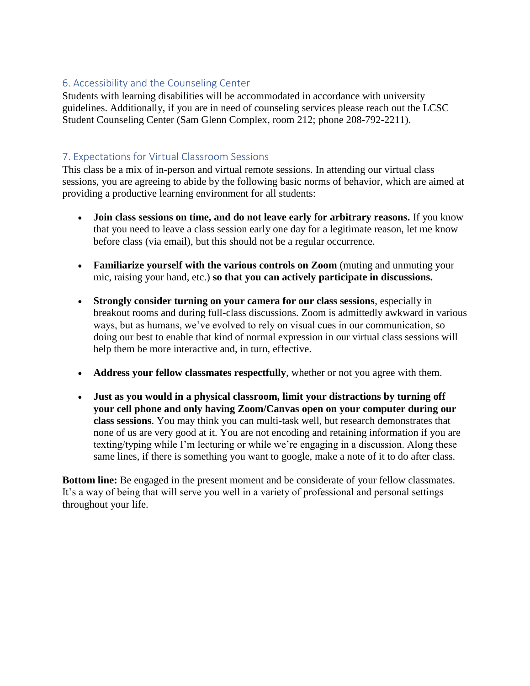#### 6. Accessibility and the Counseling Center

Students with learning disabilities will be accommodated in accordance with university guidelines. Additionally, if you are in need of counseling services please reach out the LCSC Student Counseling Center (Sam Glenn Complex, room 212; phone 208-792-2211).

#### 7. Expectations for Virtual Classroom Sessions

This class be a mix of in-person and virtual remote sessions. In attending our virtual class sessions, you are agreeing to abide by the following basic norms of behavior, which are aimed at providing a productive learning environment for all students:

- **Join class sessions on time, and do not leave early for arbitrary reasons.** If you know that you need to leave a class session early one day for a legitimate reason, let me know before class (via email), but this should not be a regular occurrence.
- **Familiarize yourself with the various controls on Zoom** (muting and unmuting your mic, raising your hand, etc.) **so that you can actively participate in discussions.**
- **Strongly consider turning on your camera for our class sessions**, especially in breakout rooms and during full-class discussions. Zoom is admittedly awkward in various ways, but as humans, we've evolved to rely on visual cues in our communication, so doing our best to enable that kind of normal expression in our virtual class sessions will help them be more interactive and, in turn, effective.
- **Address your fellow classmates respectfully**, whether or not you agree with them.
- **Just as you would in a physical classroom, limit your distractions by turning off your cell phone and only having Zoom/Canvas open on your computer during our class sessions**. You may think you can multi-task well, but research demonstrates that none of us are very good at it. You are not encoding and retaining information if you are texting/typing while I'm lecturing or while we're engaging in a discussion. Along these same lines, if there is something you want to google, make a note of it to do after class.

**Bottom line:** Be engaged in the present moment and be considerate of your fellow classmates. It's a way of being that will serve you well in a variety of professional and personal settings throughout your life.